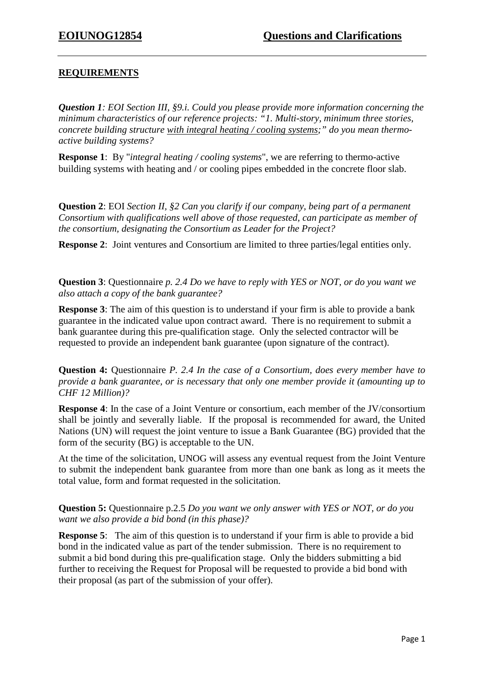## **REQUIREMENTS**

*Question 1: EOI Section III, §9.i. Could you please provide more information concerning the minimum characteristics of our reference projects: "1. Multi-story, minimum three stories, concrete building structure with integral heating / cooling systems;" do you mean thermoactive building systems?* 

**Response 1**: By "*integral heating / cooling systems*", we are referring to thermo-active building systems with heating and / or cooling pipes embedded in the concrete floor slab.

**Question 2**: EOI *Section II, §2 Can you clarify if our company, being part of a permanent Consortium with qualifications well above of those requested, can participate as member of the consortium, designating the Consortium as Leader for the Project?*

**Response 2**: Joint ventures and Consortium are limited to three parties/legal entities only.

**Question 3**: Questionnaire *p. 2.4 Do we have to reply with YES or NOT, or do you want we also attach a copy of the bank guarantee?*

**Response 3**: The aim of this question is to understand if your firm is able to provide a bank guarantee in the indicated value upon contract award. There is no requirement to submit a bank guarantee during this pre-qualification stage. Only the selected contractor will be requested to provide an independent bank guarantee (upon signature of the contract).

**Question 4:** Questionnaire *P. 2.4 In the case of a Consortium, does every member have to provide a bank guarantee, or is necessary that only one member provide it (amounting up to CHF 12 Million)?*

**Response 4**: In the case of a Joint Venture or consortium, each member of the JV/consortium shall be jointly and severally liable. If the proposal is recommended for award, the United Nations (UN) will request the joint venture to issue a Bank Guarantee (BG) provided that the form of the security (BG) is acceptable to the UN.

At the time of the solicitation, UNOG will assess any eventual request from the Joint Venture to submit the independent bank guarantee from more than one bank as long as it meets the total value, form and format requested in the solicitation.

**Question 5:** Questionnaire p.2.5 *Do you want we only answer with YES or NOT, or do you want we also provide a bid bond (in this phase)?*

**Response 5:** The aim of this question is to understand if your firm is able to provide a bid bond in the indicated value as part of the tender submission. There is no requirement to submit a bid bond during this pre-qualification stage. Only the bidders submitting a bid further to receiving the Request for Proposal will be requested to provide a bid bond with their proposal (as part of the submission of your offer).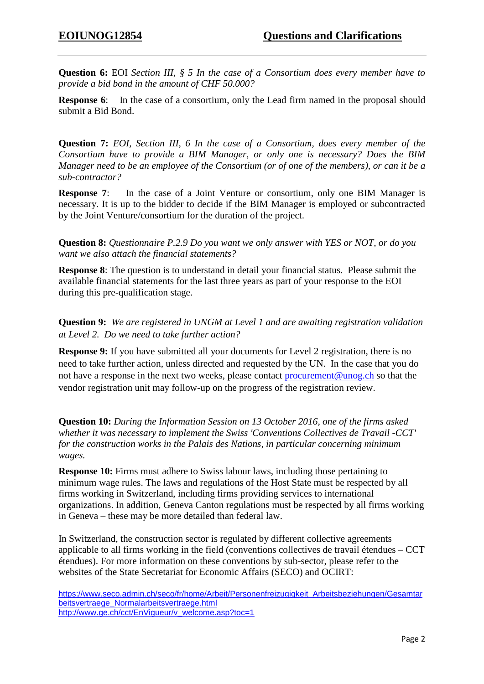**Question 6:** EOI *Section III, § 5 In the case of a Consortium does every member have to provide a bid bond in the amount of CHF 50.000?*

**Response 6:** In the case of a consortium, only the Lead firm named in the proposal should submit a Bid Bond.

**Question 7:** *EOI, Section III, 6 In the case of a Consortium, does every member of the Consortium have to provide a BIM Manager, or only one is necessary? Does the BIM Manager need to be an employee of the Consortium (or of one of the members), or can it be a sub-contractor?*

**Response 7:** In the case of a Joint Venture or consortium, only one BIM Manager is necessary. It is up to the bidder to decide if the BIM Manager is employed or subcontracted by the Joint Venture/consortium for the duration of the project.

**Question 8:** *Questionnaire P.2.9 Do you want we only answer with YES or NOT, or do you want we also attach the financial statements?*

**Response 8**: The question is to understand in detail your financial status. Please submit the available financial statements for the last three years as part of your response to the EOI during this pre-qualification stage.

**Question 9:** *We are registered in UNGM at Level 1 and are awaiting registration validation at Level 2. Do we need to take further action?*

**Response 9:** If you have submitted all your documents for Level 2 registration, there is no need to take further action, unless directed and requested by the UN. In the case that you do not have a response in the next two weeks, please contact [procurement@unog.ch](mailto:procurement@unog.ch) so that the vendor registration unit may follow-up on the progress of the registration review.

**Question 10:** *During the Information Session on 13 October 2016, one of the firms asked whether it was necessary to implement the Swiss 'Conventions Collectives de Travail -CCT' for the construction works in the Palais des Nations, in particular concerning minimum wages.* 

**Response 10:** Firms must adhere to Swiss labour laws, including those pertaining to minimum wage rules. The laws and regulations of the Host State must be respected by all firms working in Switzerland, including firms providing services to international organizations. In addition, Geneva Canton regulations must be respected by all firms working in Geneva – these may be more detailed than federal law.

In Switzerland, the construction sector is regulated by different collective agreements applicable to all firms working in the field (conventions collectives de travail étendues – CCT étendues). For more information on these conventions by sub-sector, please refer to the websites of the State Secretariat for Economic Affairs (SECO) and OCIRT:

[https://www.seco.admin.ch/seco/fr/home/Arbeit/Personenfreizugigkeit\\_Arbeitsbeziehungen/Gesamtar](https://www.seco.admin.ch/seco/fr/home/Arbeit/Personenfreizugigkeit_Arbeitsbeziehungen/Gesamtarbeitsvertraege_Normalarbeitsvertraege.html) [beitsvertraege\\_Normalarbeitsvertraege.html](https://www.seco.admin.ch/seco/fr/home/Arbeit/Personenfreizugigkeit_Arbeitsbeziehungen/Gesamtarbeitsvertraege_Normalarbeitsvertraege.html) [http://www.ge.ch/cct/EnVigueur/v\\_welcome.asp?toc=1](http://www.ge.ch/cct/EnVigueur/v_welcome.asp?toc=1)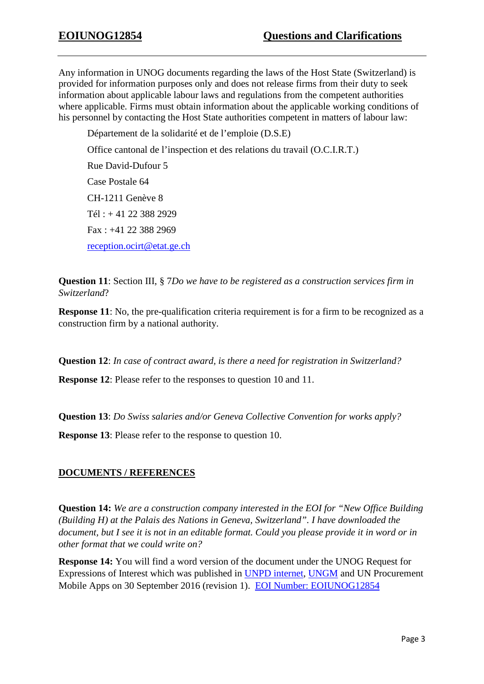Any information in UNOG documents regarding the laws of the Host State (Switzerland) is provided for information purposes only and does not release firms from their duty to seek information about applicable labour laws and regulations from the competent authorities where applicable. Firms must obtain information about the applicable working conditions of his personnel by contacting the Host State authorities competent in matters of labour law:

Département de la solidarité et de l'emploie (D.S.E) Office cantonal de l'inspection et des relations du travail (O.C.I.R.T.) Rue David-Dufour 5 Case Postale 64 CH-1211 Genève 8 Tél : + 41 22 388 2929 Fax : +41 22 388 2969 [reception.ocirt@etat.ge.ch](mailto:reception.ocirt@etat.ge.ch)

**Question 11**: Section III, § 7*Do we have to be registered as a construction services firm in Switzerland*?

**Response 11**: No, the pre-qualification criteria requirement is for a firm to be recognized as a construction firm by a national authority.

**Question 12**: *In case of contract award, is there a need for registration in Switzerland?*

**Response 12**: Please refer to the responses to question 10 and 11.

**Question 13**: *Do Swiss salaries and/or Geneva Collective Convention for works apply?*

**Response 13**: Please refer to the response to question 10.

## **DOCUMENTS / REFERENCES**

**Question 14:** *We are a construction company interested in the EOI for "New Office Building (Building H) at the Palais des Nations in Geneva, Switzerland". I have downloaded the document, but I see it is not in an editable format. Could you please provide it in word or in other format that we could write on?*

**Response 14:** You will find a word version of the document under the UNOG Request for Expressions of Interest which was published in [UNPD internet,](https://www.un.org/Depts/ptd/eoi) [UNGM](https://www.ungm.org/Public/Notice) and UN Procurement Mobile Apps on 30 September 2016 (revision 1). [EOI Number: EOIUNOG12854](http://www.un.org/depts/ptd/pdf/eoi12854.pdf)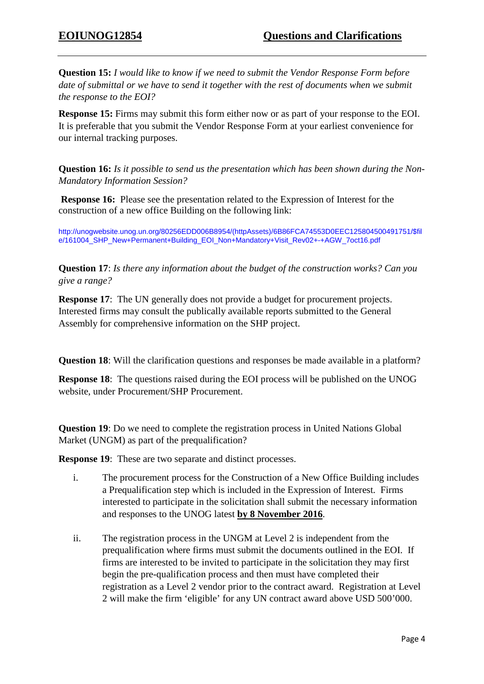**Question 15:** *I would like to know if we need to submit the Vendor Response Form before date of submittal or we have to send it together with the rest of documents when we submit the response to the EOI?*

**Response 15:** Firms may submit this form either now or as part of your response to the EOI. It is preferable that you submit the Vendor Response Form at your earliest convenience for our internal tracking purposes.

**Question 16:** *Is it possible to send us the presentation which has been shown during the Non-Mandatory Information Session?*

**Response 16:** Please see the presentation related to the Expression of Interest for the construction of a new office Building on the following link:

[http://unogwebsite.unog.un.org/80256EDD006B8954/\(httpAssets\)/6B86FCA74553D0EEC125804500491751/\\$fil](http://unogwebsite.unog.un.org/80256EDD006B8954/(httpAssets)/6B86FCA74553D0EEC125804500491751/$file/161004_SHP_New+Permanent+Building_EOI_Non+Mandatory+Visit_Rev02+-+AGW_7oct16.pdf) [e/161004\\_SHP\\_New+Permanent+Building\\_EOI\\_Non+Mandatory+Visit\\_Rev02+-+AGW\\_7oct16.pdf](http://unogwebsite.unog.un.org/80256EDD006B8954/(httpAssets)/6B86FCA74553D0EEC125804500491751/$file/161004_SHP_New+Permanent+Building_EOI_Non+Mandatory+Visit_Rev02+-+AGW_7oct16.pdf)

**Question 17**: *Is there any information about the budget of the construction works? Can you give a range?*

**Response 17:** The UN generally does not provide a budget for procurement projects. Interested firms may consult the publically available reports submitted to the General Assembly for comprehensive information on the SHP project.

**Question 18:** Will the clarification questions and responses be made available in a platform?

**Response 18**: The questions raised during the EOI process will be published on the UNOG website, under Procurement/SHP Procurement.

**Question 19**: Do we need to complete the registration process in United Nations Global Market (UNGM) as part of the prequalification?

**Response 19:** These are two separate and distinct processes.

- i. The procurement process for the Construction of a New Office Building includes a Prequalification step which is included in the Expression of Interest. Firms interested to participate in the solicitation shall submit the necessary information and responses to the UNOG latest **by 8 November 2016**.
- ii. The registration process in the UNGM at Level 2 is independent from the prequalification where firms must submit the documents outlined in the EOI. If firms are interested to be invited to participate in the solicitation they may first begin the pre-qualification process and then must have completed their registration as a Level 2 vendor prior to the contract award. Registration at Level 2 will make the firm 'eligible' for any UN contract award above USD 500'000.